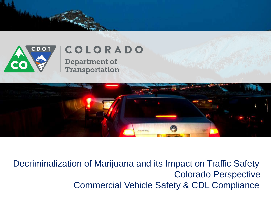

## COLORADO

**Department of** Transportation



Decriminalization of Marijuana and its Impact on Traffic Safety Colorado Perspective Commercial Vehicle Safety & CDL Compliance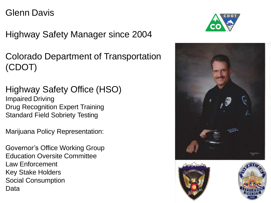#### Glenn Davis

Highway Safety Manager since 2004

Colorado Department of Transportation (CDOT)

Highway Safety Office (HSO) Impaired Driving Drug Recognition Expert Training Standard Field Sobriety Testing

Marijuana Policy Representation:

Governor's Office Working Group Education Oversite Committee Law Enforcement Key Stake Holders Social Consumption Data







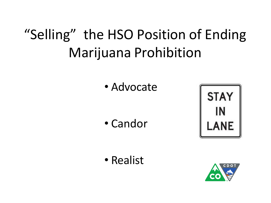## "Selling" the HSO Position of Ending Marijuana Prohibition

• Advocate

• Candor



• Realist

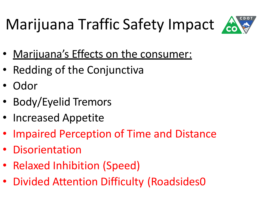# Marijuana Traffic Safety Impact



- Marijuana's Effects on the consumer:
- Redding of the Conjunctiva
- Odor
- Body/Eyelid Tremors
- Increased Appetite
- Impaired Perception of Time and Distance
- Disorientation
- Relaxed Inhibition (Speed)
- Divided Attention Difficulty (Roadsides0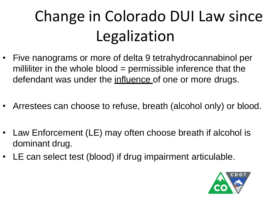# Change in Colorado DUI Law since Legalization

- Five nanograms or more of delta 9 tetrahydrocannabinol per milliliter in the whole blood = permissible inference that the defendant was under the influence of one or more drugs.
- Arrestees can choose to refuse, breath (alcohol only) or blood.
- Law Enforcement (LE) may often choose breath if alcohol is dominant drug.
- LE can select test (blood) if drug impairment articulable.

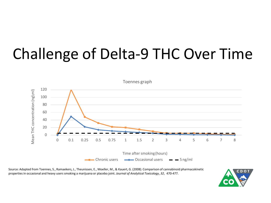## Challenge of Delta-9 THC Over Time



Source: Adapted from Toennes, S., Ramaekers, J., Theunissen, E., Moeller, M., & Kauert, G. (2008). Comparison of cannabinoid pharmacokinetic properties in occasional and heavy users smoking a marijuana or placebo joint. *Journal of Analytical Toxicology*, *32*, 470-477.

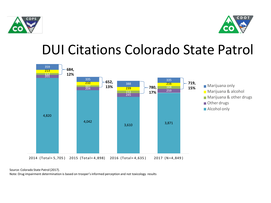



### DUI Citations Colorado State Patrol



Source: Colorado State Patrol(2017).

Note: Drug impairment determination is based on trooper's informed perception and not toxicology results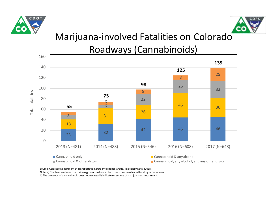



#### Marijuana-involved Fatalities on Colorado Roadways (Cannabinoids)



Source: Colorado Department of Transportation, Data Intelligence Group, Toxicology Data (2018).

Note: a) Numbers are based on toxicology results where at least one driver was tested for drugs after a crash.

b) The presence of a cannabinoid does not necessarily indicate recent use of marijuana or impairment.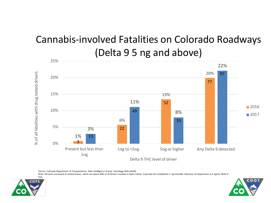#### Cannabis-involved Fatalities on Colorado Roadways (Delta 9 5 ng and above)



Source: Colorado Department of Transportation, Data Intelligence Group, Toxicology Data (2018).

Note: Percents are based on tested drivers, which are about 46% of all drivers involved in fatal crashes. Colorado has established a "permissible inference of impairment at 5 ng/mL Delta-9





THC.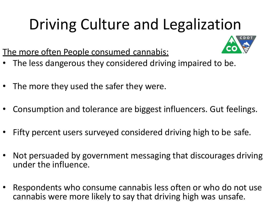# Driving Culture and Legalization



The more often People consumed cannabis:

- The less dangerous they considered driving impaired to be.
- The more they used the safer they were.
- Consumption and tolerance are biggest influencers. Gut feelings.
- Fifty percent users surveyed considered driving high to be safe.
- Not persuaded by government messaging that discourages driving under the influence.
- Respondents who consume cannabis less often or who do not use cannabis were more likely to say that driving high was unsafe.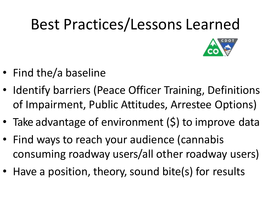# Best Practices/Lessons Learned

- Find the/a baseline
- Identify barriers (Peace Officer Training, Definitions of Impairment, Public Attitudes, Arrestee Options)
- Take advantage of environment (\$) to improve data
- Find ways to reach your audience (cannabis consuming roadway users/all other roadway users)
- Have a position, theory, sound bite(s) for results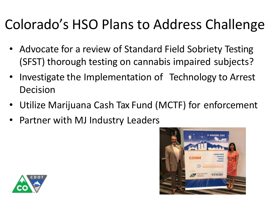## Colorado's HSO Plans to Address Challenge

- Advocate for a review of Standard Field Sobriety Testing (SFST) thorough testing on cannabis impaired subjects?
- Investigate the Implementation of Technology to Arrest Decision
- Utilize Marijuana Cash Tax Fund (MCTF) for enforcement
- Partner with MJ Industry Leaders



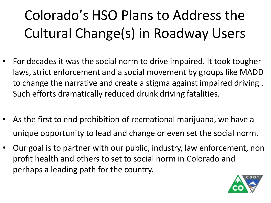## Colorado's HSO Plans to Address the Cultural Change(s) in Roadway Users

- For decades it was the social norm to drive impaired. It took tougher laws, strict enforcement and a social movement by groups like MADD to change the narrative and create a stigma against impaired driving . Such efforts dramatically reduced drunk driving fatalities.
- As the first to end prohibition of recreational marijuana, we have a unique opportunity to lead and change or even set the social norm.
- Our goal is to partner with our public, industry, law enforcement, non profit health and others to set to social norm in Colorado and perhaps a leading path for the country.